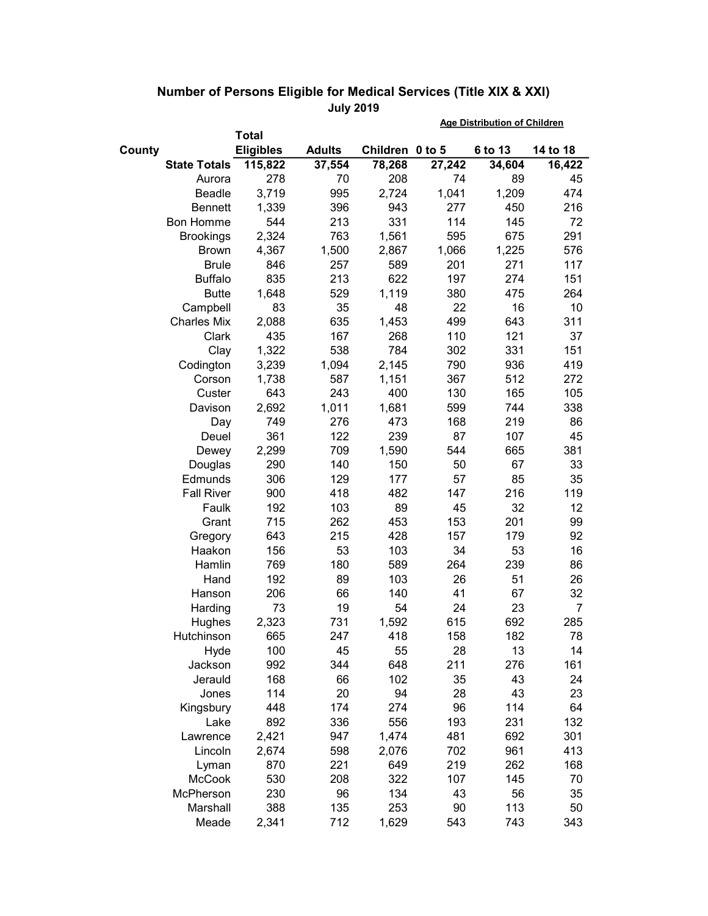|                     |                  |               | <b>Age Distribution of Children</b> |        |         |          |
|---------------------|------------------|---------------|-------------------------------------|--------|---------|----------|
|                     | <b>Total</b>     |               |                                     |        |         |          |
| County              | <b>Eligibles</b> | <b>Adults</b> | Children 0 to 5                     |        | 6 to 13 | 14 to 18 |
| <b>State Totals</b> | 115,822          | 37,554        | 78,268                              | 27,242 | 34,604  | 16,422   |
| Aurora              | 278              | 70            | 208                                 | 74     | 89      | 45       |
| Beadle              | 3,719            | 995           | 2,724                               | 1,041  | 1,209   | 474      |
| <b>Bennett</b>      | 1,339            | 396           | 943                                 | 277    | 450     | 216      |
| <b>Bon Homme</b>    | 544              | 213           | 331                                 | 114    | 145     | 72       |
| <b>Brookings</b>    | 2,324            | 763           | 1,561                               | 595    | 675     | 291      |
| <b>Brown</b>        | 4,367            | 1,500         | 2,867                               | 1,066  | 1,225   | 576      |
| <b>Brule</b>        | 846              | 257           | 589                                 | 201    | 271     | 117      |
| <b>Buffalo</b>      | 835              | 213           | 622                                 | 197    | 274     | 151      |
| <b>Butte</b>        | 1,648            | 529           | 1,119                               | 380    | 475     | 264      |
| Campbell            | 83               | 35            | 48                                  | 22     | 16      | 10       |
| <b>Charles Mix</b>  | 2,088            | 635           | 1,453                               | 499    | 643     | 311      |
| Clark               | 435              | 167           | 268                                 | 110    | 121     | 37       |
| Clay                | 1,322            | 538           | 784                                 | 302    | 331     | 151      |
| Codington           | 3,239            | 1,094         | 2,145                               | 790    | 936     | 419      |
| Corson              | 1,738            | 587           | 1,151                               | 367    | 512     | 272      |
| Custer              | 643              | 243           | 400                                 | 130    | 165     | 105      |
| Davison             | 2,692            | 1,011         | 1,681                               | 599    | 744     | 338      |
| Day                 | 749              | 276           | 473                                 | 168    | 219     | 86       |
| Deuel               | 361              | 122           | 239                                 | 87     | 107     | 45       |
| Dewey               | 2,299            | 709           | 1,590                               | 544    | 665     | 381      |
| Douglas             | 290              | 140           | 150                                 | 50     | 67      | 33       |
| Edmunds             | 306              | 129           | 177                                 | 57     | 85      | 35       |
| <b>Fall River</b>   | 900              | 418           | 482                                 | 147    | 216     | 119      |
| Faulk               | 192              | 103           | 89                                  | 45     | 32      | 12       |
| Grant               | 715              | 262           | 453                                 | 153    | 201     | 99       |
| Gregory             | 643              | 215           | 428                                 | 157    | 179     | 92       |
| Haakon              | 156              | 53            | 103                                 | 34     | 53      | 16       |
| Hamlin              | 769              | 180           | 589                                 | 264    | 239     | 86       |
| Hand                | 192              | 89            | 103                                 | 26     | 51      | 26       |
| Hanson              | 206              | 66            | 140                                 | 41     | 67      | 32       |
| Harding             | 73               | 19            | 54                                  | 24     | 23      | 7        |
| Hughes              | 2,323            | 731           | 1,592                               | 615    | 692     | 285      |
| Hutchinson          | 665              | 247           | 418                                 | 158    | 182     | 78       |
| Hyde                | 100              | 45            | 55                                  | 28     | 13      | 14       |
| Jackson             | 992              | 344           | 648                                 | 211    | 276     | 161      |
| Jerauld             | 168              | 66            | 102                                 | 35     | 43      | 24       |
| Jones               | 114              | 20            | 94                                  | 28     | 43      | 23       |
| Kingsbury           | 448              | 174           | 274                                 | 96     | 114     | 64       |
| Lake                | 892              | 336           | 556                                 | 193    | 231     | 132      |
| Lawrence            | 2,421            | 947           | 1,474                               | 481    | 692     | 301      |
| Lincoln             | 2,674            | 598           | 2,076                               | 702    | 961     | 413      |
| Lyman               | 870              | 221           | 649                                 | 219    | 262     | 168      |
| <b>McCook</b>       | 530              | 208           | 322                                 | 107    | 145     | 70       |
| McPherson           | 230              | 96            | 134                                 | 43     | 56      | 35       |
| Marshall            | 388              | 135           | 253                                 | 90     | 113     | 50       |
| Meade               | 2,341            | 712           | 1,629                               | 543    | 743     | 343      |

## Number of Persons Eligible for Medical Services (Title XIX & XXI) July 2019